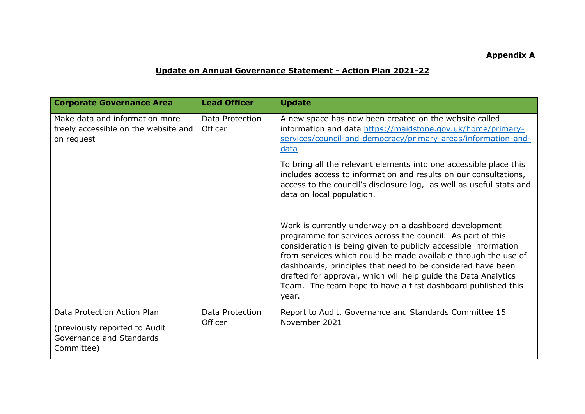## **Appendix A**

## **Update on Annual Governance Statement - Action Plan 2021-22**

| <b>Corporate Governance Area</b>                                                                       | <b>Lead Officer</b>        | <b>Update</b>                                                                                                                                                                                                                                                                                                                                                                                                                                                      |
|--------------------------------------------------------------------------------------------------------|----------------------------|--------------------------------------------------------------------------------------------------------------------------------------------------------------------------------------------------------------------------------------------------------------------------------------------------------------------------------------------------------------------------------------------------------------------------------------------------------------------|
| Make data and information more<br>freely accessible on the website and<br>on request                   | Data Protection<br>Officer | A new space has now been created on the website called<br>information and data https://maidstone.gov.uk/home/primary-<br>services/council-and-democracy/primary-areas/information-and-<br>data                                                                                                                                                                                                                                                                     |
|                                                                                                        |                            | To bring all the relevant elements into one accessible place this<br>includes access to information and results on our consultations,<br>access to the council's disclosure log, as well as useful stats and<br>data on local population.                                                                                                                                                                                                                          |
|                                                                                                        |                            | Work is currently underway on a dashboard development<br>programme for services across the council. As part of this<br>consideration is being given to publicly accessible information<br>from services which could be made available through the use of<br>dashboards, principles that need to be considered have been<br>drafted for approval, which will help guide the Data Analytics<br>Team. The team hope to have a first dashboard published this<br>year. |
| Data Protection Action Plan<br>(previously reported to Audit<br>Governance and Standards<br>Committee) | Data Protection<br>Officer | Report to Audit, Governance and Standards Committee 15<br>November 2021                                                                                                                                                                                                                                                                                                                                                                                            |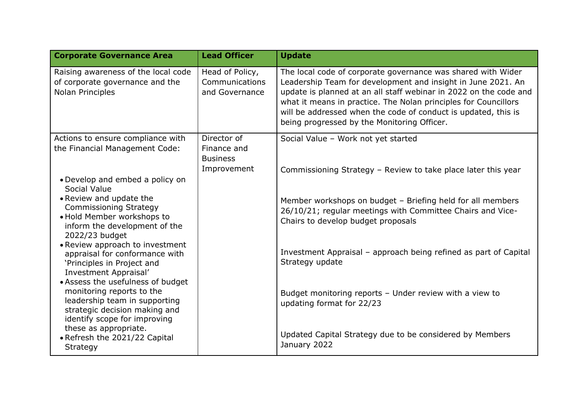| <b>Corporate Governance Area</b>                                                           | <b>Lead Officer</b>                                 | <b>Update</b>                                                                                                                                                                                                                                                                                                                                                                         |
|--------------------------------------------------------------------------------------------|-----------------------------------------------------|---------------------------------------------------------------------------------------------------------------------------------------------------------------------------------------------------------------------------------------------------------------------------------------------------------------------------------------------------------------------------------------|
| Raising awareness of the local code<br>of corporate governance and the<br>Nolan Principles | Head of Policy,<br>Communications<br>and Governance | The local code of corporate governance was shared with Wider<br>Leadership Team for development and insight in June 2021. An<br>update is planned at an all staff webinar in 2022 on the code and<br>what it means in practice. The Nolan principles for Councillors<br>will be addressed when the code of conduct is updated, this is<br>being progressed by the Monitoring Officer. |
| Actions to ensure compliance with                                                          | Director of                                         | Social Value - Work not yet started                                                                                                                                                                                                                                                                                                                                                   |
| the Financial Management Code:                                                             | Finance and<br><b>Business</b>                      |                                                                                                                                                                                                                                                                                                                                                                                       |
|                                                                                            | Improvement                                         | Commissioning Strategy - Review to take place later this year                                                                                                                                                                                                                                                                                                                         |
| • Develop and embed a policy on<br>Social Value                                            |                                                     |                                                                                                                                                                                                                                                                                                                                                                                       |
| • Review and update the<br><b>Commissioning Strategy</b>                                   |                                                     | Member workshops on budget - Briefing held for all members<br>26/10/21; regular meetings with Committee Chairs and Vice-                                                                                                                                                                                                                                                              |
| . Hold Member workshops to<br>inform the development of the<br>2022/23 budget              |                                                     | Chairs to develop budget proposals                                                                                                                                                                                                                                                                                                                                                    |
| • Review approach to investment<br>appraisal for conformance with                          |                                                     | Investment Appraisal - approach being refined as part of Capital                                                                                                                                                                                                                                                                                                                      |
| 'Principles in Project and<br>Investment Appraisal'                                        |                                                     | Strategy update                                                                                                                                                                                                                                                                                                                                                                       |
| • Assess the usefulness of budget<br>monitoring reports to the                             |                                                     |                                                                                                                                                                                                                                                                                                                                                                                       |
| leadership team in supporting                                                              |                                                     | Budget monitoring reports - Under review with a view to<br>updating format for 22/23                                                                                                                                                                                                                                                                                                  |
| strategic decision making and<br>identify scope for improving                              |                                                     |                                                                                                                                                                                                                                                                                                                                                                                       |
| these as appropriate.<br>• Refresh the 2021/22 Capital                                     |                                                     | Updated Capital Strategy due to be considered by Members                                                                                                                                                                                                                                                                                                                              |
| Strategy                                                                                   |                                                     | January 2022                                                                                                                                                                                                                                                                                                                                                                          |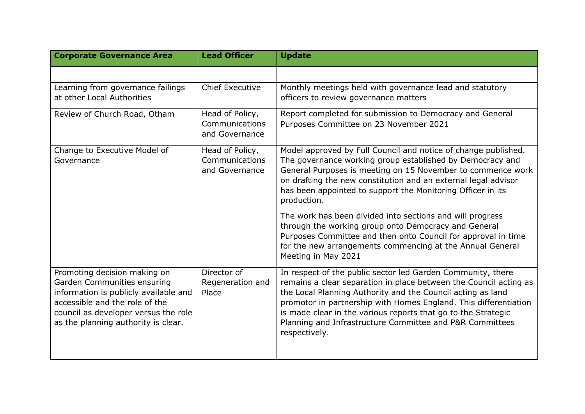| <b>Corporate Governance Area</b>                                                                                                                                                                                      | <b>Lead Officer</b>                                 | <b>Update</b>                                                                                                                                                                                                                                                                                                                                                                                                     |
|-----------------------------------------------------------------------------------------------------------------------------------------------------------------------------------------------------------------------|-----------------------------------------------------|-------------------------------------------------------------------------------------------------------------------------------------------------------------------------------------------------------------------------------------------------------------------------------------------------------------------------------------------------------------------------------------------------------------------|
|                                                                                                                                                                                                                       |                                                     |                                                                                                                                                                                                                                                                                                                                                                                                                   |
| Learning from governance failings<br>at other Local Authorities                                                                                                                                                       | <b>Chief Executive</b>                              | Monthly meetings held with governance lead and statutory<br>officers to review governance matters                                                                                                                                                                                                                                                                                                                 |
| Review of Church Road, Otham                                                                                                                                                                                          | Head of Policy,<br>Communications<br>and Governance | Report completed for submission to Democracy and General<br>Purposes Committee on 23 November 2021                                                                                                                                                                                                                                                                                                                |
| Change to Executive Model of<br>Governance                                                                                                                                                                            | Head of Policy,<br>Communications<br>and Governance | Model approved by Full Council and notice of change published.<br>The governance working group established by Democracy and<br>General Purposes is meeting on 15 November to commence work<br>on drafting the new constitution and an external legal advisor<br>has been appointed to support the Monitoring Officer in its<br>production.                                                                        |
|                                                                                                                                                                                                                       |                                                     | The work has been divided into sections and will progress<br>through the working group onto Democracy and General<br>Purposes Committee and then onto Council for approval in time<br>for the new arrangements commencing at the Annual General<br>Meeting in May 2021                                                                                                                                            |
| Promoting decision making on<br>Garden Communities ensuring<br>information is publicly available and<br>accessible and the role of the<br>council as developer versus the role<br>as the planning authority is clear. | Director of<br>Regeneration and<br>Place            | In respect of the public sector led Garden Community, there<br>remains a clear separation in place between the Council acting as<br>the Local Planning Authority and the Council acting as land<br>promotor in partnership with Homes England. This differentiation<br>is made clear in the various reports that go to the Strategic<br>Planning and Infrastructure Committee and P&R Committees<br>respectively. |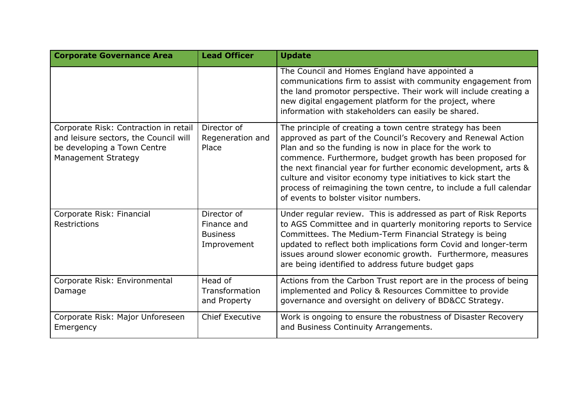| <b>Corporate Governance Area</b>                                                                                                     | <b>Lead Officer</b>                                          | <b>Update</b>                                                                                                                                                                                                                                                                                                                                                                                                                                                                                            |
|--------------------------------------------------------------------------------------------------------------------------------------|--------------------------------------------------------------|----------------------------------------------------------------------------------------------------------------------------------------------------------------------------------------------------------------------------------------------------------------------------------------------------------------------------------------------------------------------------------------------------------------------------------------------------------------------------------------------------------|
|                                                                                                                                      |                                                              | The Council and Homes England have appointed a<br>communications firm to assist with community engagement from<br>the land promotor perspective. Their work will include creating a<br>new digital engagement platform for the project, where<br>information with stakeholders can easily be shared.                                                                                                                                                                                                     |
| Corporate Risk: Contraction in retail<br>and leisure sectors, the Council will<br>be developing a Town Centre<br>Management Strategy | Director of<br>Regeneration and<br>Place                     | The principle of creating a town centre strategy has been<br>approved as part of the Council's Recovery and Renewal Action<br>Plan and so the funding is now in place for the work to<br>commence. Furthermore, budget growth has been proposed for<br>the next financial year for further economic development, arts &<br>culture and visitor economy type initiatives to kick start the<br>process of reimagining the town centre, to include a full calendar<br>of events to bolster visitor numbers. |
| Corporate Risk: Financial<br>Restrictions                                                                                            | Director of<br>Finance and<br><b>Business</b><br>Improvement | Under regular review. This is addressed as part of Risk Reports<br>to AGS Committee and in quarterly monitoring reports to Service<br>Committees. The Medium-Term Financial Strategy is being<br>updated to reflect both implications form Covid and longer-term<br>issues around slower economic growth. Furthermore, measures<br>are being identified to address future budget gaps                                                                                                                    |
| Corporate Risk: Environmental<br>Damage                                                                                              | Head of<br>Transformation<br>and Property                    | Actions from the Carbon Trust report are in the process of being<br>implemented and Policy & Resources Committee to provide<br>governance and oversight on delivery of BD&CC Strategy.                                                                                                                                                                                                                                                                                                                   |
| Corporate Risk: Major Unforeseen<br>Emergency                                                                                        | <b>Chief Executive</b>                                       | Work is ongoing to ensure the robustness of Disaster Recovery<br>and Business Continuity Arrangements.                                                                                                                                                                                                                                                                                                                                                                                                   |